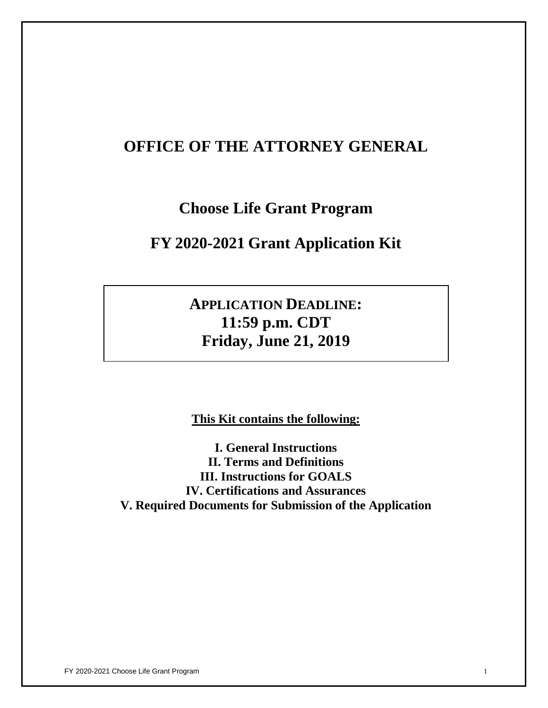# **OFFICE OF THE ATTORNEY GENERAL**

# **Choose Life Grant Program**

# **FY 2020-2021 Grant Application Kit**

# **APPLICATION DEADLINE: 11:59 p.m. CDT Friday, June 21, 2019**

**This Kit contains the following:**

**I. General Instructions II. Terms and Definitions III. Instructions for GOALS IV. Certifications and Assurances V. Required Documents for Submission of the Application**

FY 2020-2021 Choose Life Grant Program 1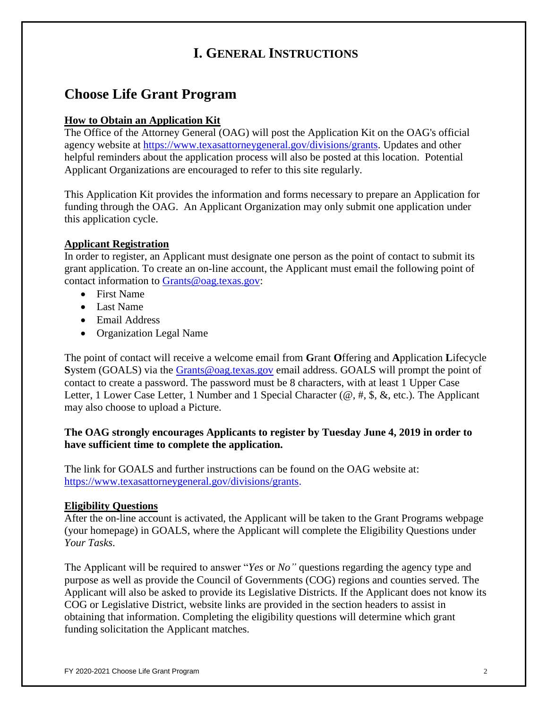# **I. GENERAL INSTRUCTIONS**

# **Choose Life Grant Program**

# **How to Obtain an Application Kit**

The Office of the Attorney General (OAG) will post the Application Kit on the OAG's official agency website at [https://www.texasattorneygeneral.gov/divisions/grants.](https://www.texasattorneygeneral.gov/divisions/grants) Updates and other helpful reminders about the application process will also be posted at this location. Potential Applicant Organizations are encouraged to refer to this site regularly.

This Application Kit provides the information and forms necessary to prepare an Application for funding through the OAG. An Applicant Organization may only submit one application under this application cycle.

# **Applicant Registration**

In order to register, an Applicant must designate one person as the point of contact to submit its grant application. To create an on-line account, the Applicant must email the following point of contact information to [Grants@oag.texas.gov:](mailto:Grants@oag.texas.gov)

- First Name
- Last Name
- Email Address
- Organization Legal Name

The point of contact will receive a welcome email from **G**rant **O**ffering and **A**pplication **L**ifecycle **S**ystem (GOALS) via the [Grants@oag.texas.gov](mailto:Grants@oag.texas.gov) email address. GOALS will prompt the point of contact to create a password. The password must be 8 characters, with at least 1 Upper Case Letter, 1 Lower Case Letter, 1 Number and 1 Special Character ( $\omega$ , #, \$, &, etc.). The Applicant may also choose to upload a Picture.

# **The OAG strongly encourages Applicants to register by Tuesday June 4, 2019 in order to have sufficient time to complete the application.**

The link for GOALS and further instructions can be found on the OAG website at: [https://www.texasattorneygeneral.gov/divisions/grants.](https://www.texasattorneygeneral.gov/divisions/grants)

# **Eligibility Questions**

After the on-line account is activated, the Applicant will be taken to the Grant Programs webpage (your homepage) in GOALS, where the Applicant will complete the Eligibility Questions under *Your Tasks*.

The Applicant will be required to answer "*Yes* or *No"* questions regarding the agency type and purpose as well as provide the Council of Governments (COG) regions and counties served. The Applicant will also be asked to provide its Legislative Districts. If the Applicant does not know its COG or Legislative District, website links are provided in the section headers to assist in obtaining that information. Completing the eligibility questions will determine which grant funding solicitation the Applicant matches.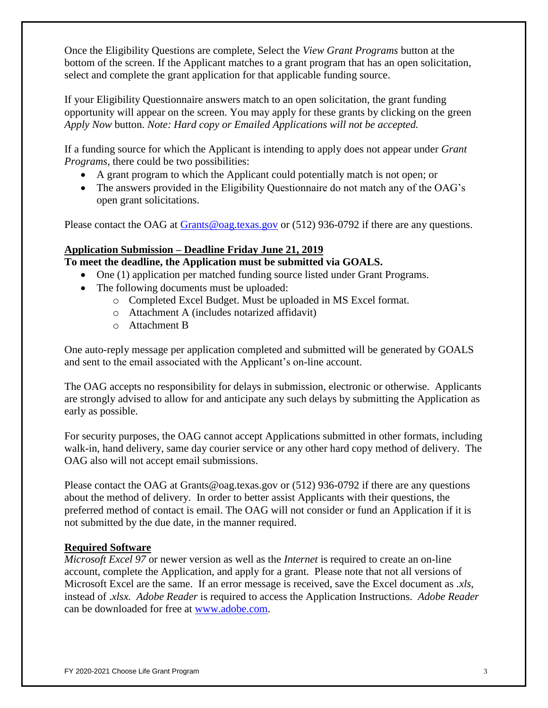Once the Eligibility Questions are complete, Select the *View Grant Programs* button at the bottom of the screen. If the Applicant matches to a grant program that has an open solicitation, select and complete the grant application for that applicable funding source.

If your Eligibility Questionnaire answers match to an open solicitation, the grant funding opportunity will appear on the screen. You may apply for these grants by clicking on the green *Apply Now* button. *Note: Hard copy or Emailed Applications will not be accepted.*

If a funding source for which the Applicant is intending to apply does not appear under *Grant Programs*, there could be two possibilities:

- A grant program to which the Applicant could potentially match is not open; or
- The answers provided in the Eligibility Questionnaire do not match any of the OAG's open grant solicitations.

Please contact the OAG at **Grants** @oag.texas.gov or (512) 936-0792 if there are any questions.

# **Application Submission – Deadline Friday June 21, 2019**

**To meet the deadline, the Application must be submitted via GOALS.** 

- One (1) application per matched funding source listed under Grant Programs.
- The following documents must be uploaded:
	- o Completed Excel Budget. Must be uploaded in MS Excel format.
	- o Attachment A (includes notarized affidavit)
	- o Attachment B

One auto-reply message per application completed and submitted will be generated by GOALS and sent to the email associated with the Applicant's on-line account.

The OAG accepts no responsibility for delays in submission, electronic or otherwise. Applicants are strongly advised to allow for and anticipate any such delays by submitting the Application as early as possible.

For security purposes, the OAG cannot accept Applications submitted in other formats, including walk-in, hand delivery, same day courier service or any other hard copy method of delivery. The OAG also will not accept email submissions.

Please contact the OAG at Grants@oag.texas.gov or (512) 936-0792 if there are any questions about the method of delivery. In order to better assist Applicants with their questions, the preferred method of contact is email. The OAG will not consider or fund an Application if it is not submitted by the due date, in the manner required.

# **Required Software**

*Microsoft Excel 97* or newer version as well as the *Internet* is required to create an on-line account, complete the Application, and apply for a grant. Please note that not all versions of Microsoft Excel are the same. If an error message is received, save the Excel document as *.xls*, instead of .*xlsx. Adobe Reader* is required to access the Application Instructions. *Adobe Reader*  can be downloaded for free at [www.adobe.com.](http://www.adobe.com/)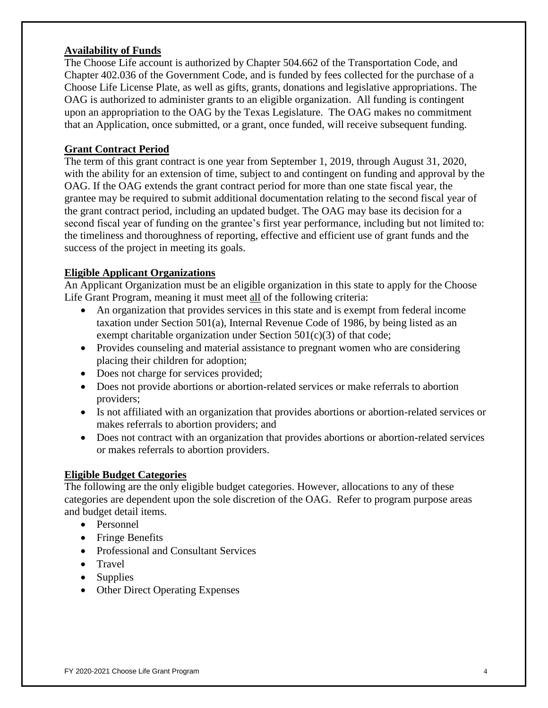# **Availability of Funds**

The Choose Life account is authorized by Chapter 504.662 of the Transportation Code, and Chapter 402.036 of the Government Code, and is funded by fees collected for the purchase of a Choose Life License Plate, as well as gifts, grants, donations and legislative appropriations. The OAG is authorized to administer grants to an eligible organization. All funding is contingent upon an appropriation to the OAG by the Texas Legislature. The OAG makes no commitment that an Application, once submitted, or a grant, once funded, will receive subsequent funding.

## **Grant Contract Period**

The term of this grant contract is one year from September 1, 2019, through August 31, 2020, with the ability for an extension of time, subject to and contingent on funding and approval by the OAG. If the OAG extends the grant contract period for more than one state fiscal year, the grantee may be required to submit additional documentation relating to the second fiscal year of the grant contract period, including an updated budget. The OAG may base its decision for a second fiscal year of funding on the grantee's first year performance, including but not limited to: the timeliness and thoroughness of reporting, effective and efficient use of grant funds and the success of the project in meeting its goals.

# **Eligible Applicant Organizations**

An Applicant Organization must be an eligible organization in this state to apply for the Choose Life Grant Program, meaning it must meet all of the following criteria:

- An organization that provides services in this state and is exempt from federal income taxation under Section 501(a), Internal Revenue Code of 1986, by being listed as an exempt charitable organization under Section  $501(c)(3)$  of that code;
- Provides counseling and material assistance to pregnant women who are considering placing their children for adoption;
- Does not charge for services provided;
- Does not provide abortions or abortion-related services or make referrals to abortion providers;
- Is not affiliated with an organization that provides abortions or abortion-related services or makes referrals to abortion providers; and
- Does not contract with an organization that provides abortions or abortion-related services or makes referrals to abortion providers.

## **Eligible Budget Categories**

The following are the only eligible budget categories. However, allocations to any of these categories are dependent upon the sole discretion of the OAG. Refer to program purpose areas and budget detail items.

- Personnel
- Fringe Benefits
- Professional and Consultant Services
- Travel
- Supplies
- Other Direct Operating Expenses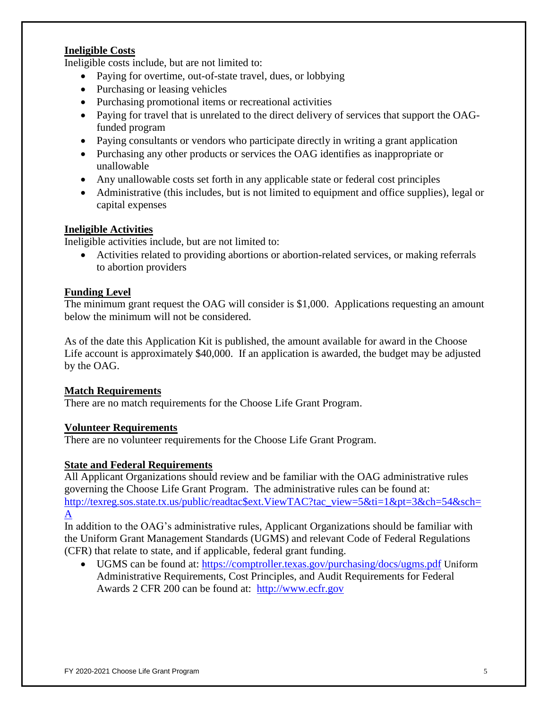# **Ineligible Costs**

Ineligible costs include, but are not limited to:

- Paying for overtime, out-of-state travel, dues, or lobbying
- Purchasing or leasing vehicles
- Purchasing promotional items or recreational activities
- Paying for travel that is unrelated to the direct delivery of services that support the OAGfunded program
- Paying consultants or vendors who participate directly in writing a grant application
- Purchasing any other products or services the OAG identifies as inappropriate or unallowable
- Any unallowable costs set forth in any applicable state or federal cost principles
- Administrative (this includes, but is not limited to equipment and office supplies), legal or capital expenses

## **Ineligible Activities**

Ineligible activities include, but are not limited to:

 Activities related to providing abortions or abortion-related services, or making referrals to abortion providers

## **Funding Level**

The minimum grant request the OAG will consider is \$1,000. Applications requesting an amount below the minimum will not be considered.

As of the date this Application Kit is published, the amount available for award in the Choose Life account is approximately \$40,000. If an application is awarded, the budget may be adjusted by the OAG.

## **Match Requirements**

There are no match requirements for the Choose Life Grant Program.

## **Volunteer Requirements**

There are no volunteer requirements for the Choose Life Grant Program.

## **State and Federal Requirements**

All Applicant Organizations should review and be familiar with the OAG administrative rules governing the Choose Life Grant Program. The administrative rules can be found at: [http://texreg.sos.state.tx.us/public/readtac\\$ext.ViewTAC?tac\\_view=5&ti=1&pt=3&ch=54&sch=](http://texreg.sos.state.tx.us/public/readtac$ext.ViewTAC?tac_view=5&ti=1&pt=3&ch=54&sch=A) [A](http://texreg.sos.state.tx.us/public/readtac$ext.ViewTAC?tac_view=5&ti=1&pt=3&ch=54&sch=A)

In addition to the OAG's administrative rules, Applicant Organizations should be familiar with the Uniform Grant Management Standards (UGMS) and relevant Code of Federal Regulations (CFR) that relate to state, and if applicable, federal grant funding.

• UGMS can be found at: <https://comptroller.texas.gov/purchasing/docs/ugms.pdf> Uniform Administrative Requirements, Cost Principles, and Audit Requirements for Federal Awards 2 CFR 200 can be found at: [http://www.ecfr.gov](http://www.ecfr.gov/)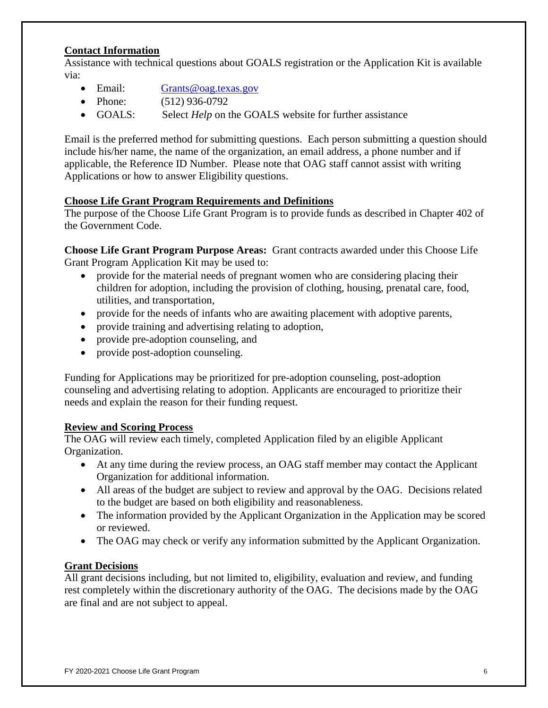# **Contact Information**

Assistance with technical questions about GOALS registration or the Application Kit is available via:

- Email: [Grants@oag.texas.gov](mailto:Grants@oag.texas.gov)
- Phone: (512) 936-0792
- GOALS: Select *Help* on the GOALS website for further assistance

Email is the preferred method for submitting questions. Each person submitting a question should include his/her name, the name of the organization, an email address, a phone number and if applicable, the Reference ID Number. Please note that OAG staff cannot assist with writing Applications or how to answer Eligibility questions.

## **Choose Life Grant Program Requirements and Definitions**

The purpose of the Choose Life Grant Program is to provide funds as described in Chapter 402 of the Government Code.

**Choose Life Grant Program Purpose Areas:** Grant contracts awarded under this Choose Life Grant Program Application Kit may be used to:

- provide for the material needs of pregnant women who are considering placing their children for adoption, including the provision of clothing, housing, prenatal care, food, utilities, and transportation,
- provide for the needs of infants who are awaiting placement with adoptive parents,
- provide training and advertising relating to adoption,
- provide pre-adoption counseling, and
- provide post-adoption counseling.

Funding for Applications may be prioritized for pre-adoption counseling, post-adoption counseling and advertising relating to adoption. Applicants are encouraged to prioritize their needs and explain the reason for their funding request.

## **Review and Scoring Process**

The OAG will review each timely, completed Application filed by an eligible Applicant Organization.

- At any time during the review process, an OAG staff member may contact the Applicant Organization for additional information.
- All areas of the budget are subject to review and approval by the OAG. Decisions related to the budget are based on both eligibility and reasonableness.
- The information provided by the Applicant Organization in the Application may be scored or reviewed.
- The OAG may check or verify any information submitted by the Applicant Organization.

## **Grant Decisions**

All grant decisions including, but not limited to, eligibility, evaluation and review, and funding rest completely within the discretionary authority of the OAG. The decisions made by the OAG are final and are not subject to appeal.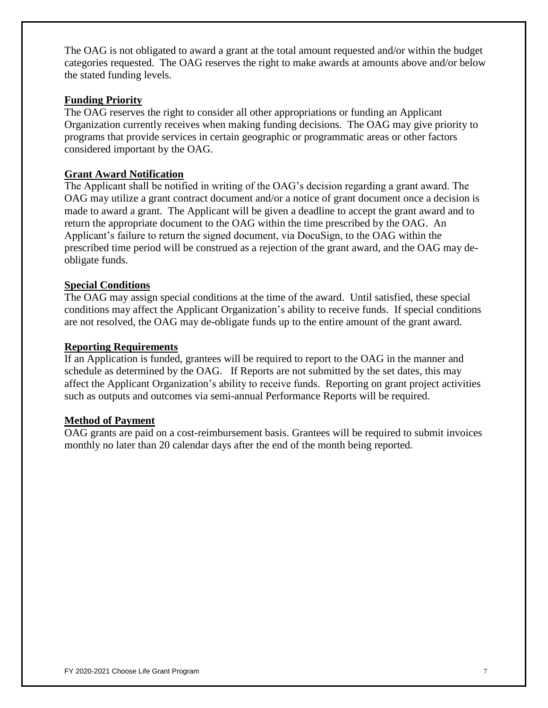The OAG is not obligated to award a grant at the total amount requested and/or within the budget categories requested. The OAG reserves the right to make awards at amounts above and/or below the stated funding levels.

# **Funding Priority**

The OAG reserves the right to consider all other appropriations or funding an Applicant Organization currently receives when making funding decisions. The OAG may give priority to programs that provide services in certain geographic or programmatic areas or other factors considered important by the OAG.

# **Grant Award Notification**

The Applicant shall be notified in writing of the OAG's decision regarding a grant award. The OAG may utilize a grant contract document and/or a notice of grant document once a decision is made to award a grant. The Applicant will be given a deadline to accept the grant award and to return the appropriate document to the OAG within the time prescribed by the OAG. An Applicant's failure to return the signed document, via DocuSign, to the OAG within the prescribed time period will be construed as a rejection of the grant award, and the OAG may deobligate funds.

# **Special Conditions**

The OAG may assign special conditions at the time of the award. Until satisfied, these special conditions may affect the Applicant Organization's ability to receive funds. If special conditions are not resolved, the OAG may de-obligate funds up to the entire amount of the grant award.

## **Reporting Requirements**

If an Application is funded, grantees will be required to report to the OAG in the manner and schedule as determined by the OAG. If Reports are not submitted by the set dates, this may affect the Applicant Organization's ability to receive funds. Reporting on grant project activities such as outputs and outcomes via semi-annual Performance Reports will be required.

## **Method of Payment**

OAG grants are paid on a cost-reimbursement basis. Grantees will be required to submit invoices monthly no later than 20 calendar days after the end of the month being reported.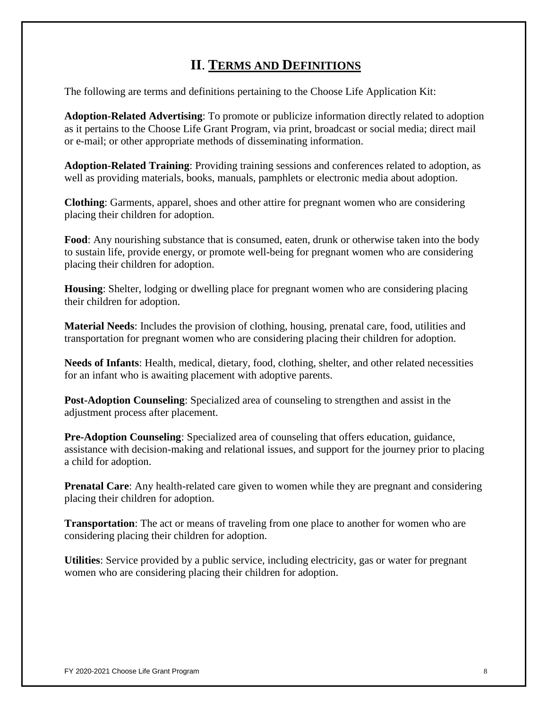# **II**. **TERMS AND DEFINITIONS**

The following are terms and definitions pertaining to the Choose Life Application Kit:

**Adoption-Related Advertising**: To promote or publicize information directly related to adoption as it pertains to the Choose Life Grant Program, via print, broadcast or social media; direct mail or e-mail; or other appropriate methods of disseminating information.

**Adoption-Related Training**: Providing training sessions and conferences related to adoption, as well as providing materials, books, manuals, pamphlets or electronic media about adoption.

**Clothing**: Garments, apparel, shoes and other attire for pregnant women who are considering placing their children for adoption.

**Food**: Any nourishing substance that is consumed, eaten, drunk or otherwise taken into the body to sustain life, provide energy, or promote well-being for pregnant women who are considering placing their children for adoption.

**Housing**: Shelter, lodging or dwelling place for pregnant women who are considering placing their children for adoption.

**Material Needs**: Includes the provision of clothing, housing, prenatal care, food, utilities and transportation for pregnant women who are considering placing their children for adoption.

**Needs of Infants**: Health, medical, dietary, food, clothing, shelter, and other related necessities for an infant who is awaiting placement with adoptive parents.

**Post-Adoption Counseling**: Specialized area of counseling to strengthen and assist in the adjustment process after placement.

**Pre-Adoption Counseling**: Specialized area of counseling that offers education, guidance, assistance with decision-making and relational issues, and support for the journey prior to placing a child for adoption.

**Prenatal Care:** Any health-related care given to women while they are pregnant and considering placing their children for adoption.

**Transportation**: The act or means of traveling from one place to another for women who are considering placing their children for adoption.

**Utilities**: Service provided by a public service, including electricity, gas or water for pregnant women who are considering placing their children for adoption.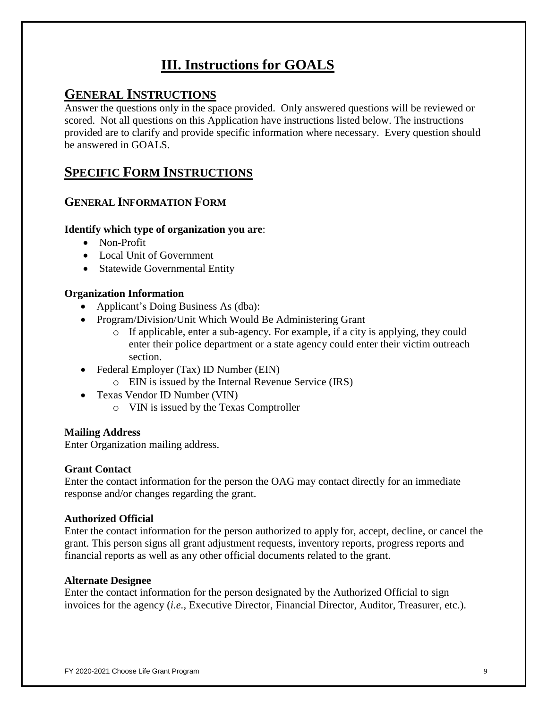# **III. Instructions for GOALS**

# **GENERAL INSTRUCTIONS**

Answer the questions only in the space provided. Only answered questions will be reviewed or scored. Not all questions on this Application have instructions listed below. The instructions provided are to clarify and provide specific information where necessary. Every question should be answered in GOALS.

# **SPECIFIC FORM INSTRUCTIONS**

# **GENERAL INFORMATION FORM**

## **Identify which type of organization you are**:

- Non-Profit
- Local Unit of Government
- Statewide Governmental Entity

#### **Organization Information**

- Applicant's Doing Business As (dba):
- Program/Division/Unit Which Would Be Administering Grant
	- o If applicable, enter a sub-agency. For example, if a city is applying, they could enter their police department or a state agency could enter their victim outreach section.
- Federal Employer (Tax) ID Number (EIN)
	- o EIN is issued by the Internal Revenue Service (IRS)
- Texas Vendor ID Number (VIN)
	- o VIN is issued by the Texas Comptroller

#### **Mailing Address**

Enter Organization mailing address.

#### **Grant Contact**

Enter the contact information for the person the OAG may contact directly for an immediate response and/or changes regarding the grant.

#### **Authorized Official**

Enter the contact information for the person authorized to apply for, accept, decline, or cancel the grant. This person signs all grant adjustment requests, inventory reports, progress reports and financial reports as well as any other official documents related to the grant.

#### **Alternate Designee**

Enter the contact information for the person designated by the Authorized Official to sign invoices for the agency (*i.e.,* Executive Director, Financial Director, Auditor, Treasurer, etc.).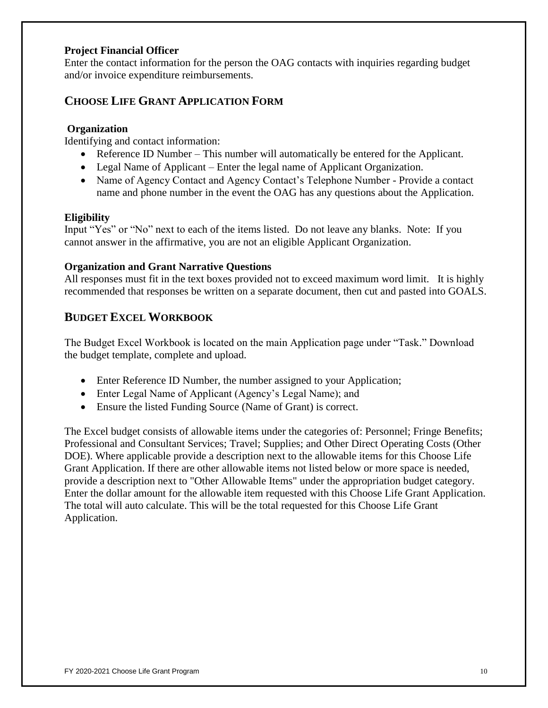# **Project Financial Officer**

Enter the contact information for the person the OAG contacts with inquiries regarding budget and/or invoice expenditure reimbursements.

# **CHOOSE LIFE GRANT APPLICATION FORM**

# **Organization**

Identifying and contact information:

- Reference ID Number This number will automatically be entered for the Applicant.
- Legal Name of Applicant Enter the legal name of Applicant Organization.
- Name of Agency Contact and Agency Contact's Telephone Number Provide a contact name and phone number in the event the OAG has any questions about the Application.

# **Eligibility**

Input "Yes" or "No" next to each of the items listed. Do not leave any blanks. Note: If you cannot answer in the affirmative, you are not an eligible Applicant Organization.

# **Organization and Grant Narrative Questions**

All responses must fit in the text boxes provided not to exceed maximum word limit. It is highly recommended that responses be written on a separate document, then cut and pasted into GOALS.

# **BUDGET EXCEL WORKBOOK**

The Budget Excel Workbook is located on the main Application page under "Task." Download the budget template, complete and upload.

- Enter Reference ID Number, the number assigned to your Application;
- Enter Legal Name of Applicant (Agency's Legal Name); and
- Ensure the listed Funding Source (Name of Grant) is correct.

The Excel budget consists of allowable items under the categories of: Personnel; Fringe Benefits; Professional and Consultant Services; Travel; Supplies; and Other Direct Operating Costs (Other DOE). Where applicable provide a description next to the allowable items for this Choose Life Grant Application. If there are other allowable items not listed below or more space is needed, provide a description next to "Other Allowable Items" under the appropriation budget category. Enter the dollar amount for the allowable item requested with this Choose Life Grant Application. The total will auto calculate. This will be the total requested for this Choose Life Grant Application.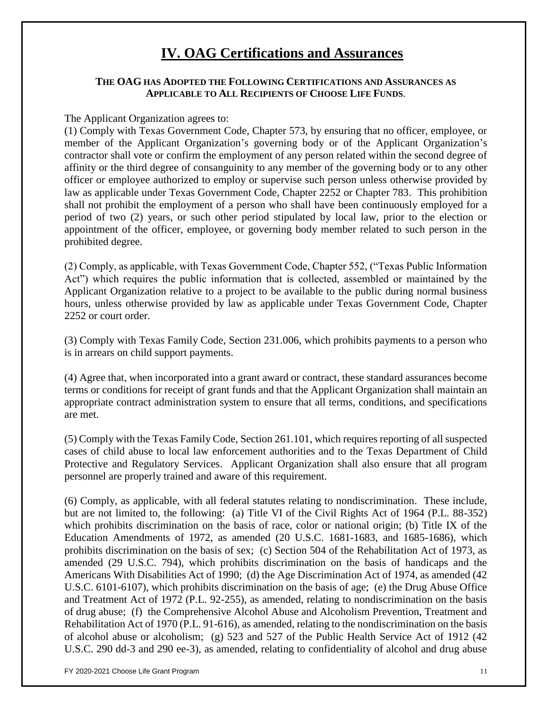# **IV. OAG Certifications and Assurances**

## **THE OAG HAS ADOPTED THE FOLLOWING CERTIFICATIONS AND ASSURANCES AS APPLICABLE TO ALL RECIPIENTS OF CHOOSE LIFE FUNDS**.

The Applicant Organization agrees to:

(1) Comply with Texas Government Code, Chapter 573, by ensuring that no officer, employee, or member of the Applicant Organization's governing body or of the Applicant Organization's contractor shall vote or confirm the employment of any person related within the second degree of affinity or the third degree of consanguinity to any member of the governing body or to any other officer or employee authorized to employ or supervise such person unless otherwise provided by law as applicable under Texas Government Code, Chapter 2252 or Chapter 783. This prohibition shall not prohibit the employment of a person who shall have been continuously employed for a period of two (2) years, or such other period stipulated by local law, prior to the election or appointment of the officer, employee, or governing body member related to such person in the prohibited degree.

(2) Comply, as applicable, with Texas Government Code, Chapter 552, ("Texas Public Information Act") which requires the public information that is collected, assembled or maintained by the Applicant Organization relative to a project to be available to the public during normal business hours, unless otherwise provided by law as applicable under Texas Government Code, Chapter 2252 or court order.

(3) Comply with Texas Family Code, Section 231.006, which prohibits payments to a person who is in arrears on child support payments.

(4) Agree that, when incorporated into a grant award or contract, these standard assurances become terms or conditions for receipt of grant funds and that the Applicant Organization shall maintain an appropriate contract administration system to ensure that all terms, conditions, and specifications are met.

(5) Comply with the Texas Family Code, Section 261.101, which requires reporting of all suspected cases of child abuse to local law enforcement authorities and to the Texas Department of Child Protective and Regulatory Services. Applicant Organization shall also ensure that all program personnel are properly trained and aware of this requirement.

(6) Comply, as applicable, with all federal statutes relating to nondiscrimination. These include, but are not limited to, the following: (a) Title VI of the Civil Rights Act of 1964 (P.L. 88-352) which prohibits discrimination on the basis of race, color or national origin; (b) Title IX of the Education Amendments of 1972, as amended (20 U.S.C. 1681-1683, and 1685-1686), which prohibits discrimination on the basis of sex; (c) Section 504 of the Rehabilitation Act of 1973, as amended (29 U.S.C. 794), which prohibits discrimination on the basis of handicaps and the Americans With Disabilities Act of 1990; (d) the Age Discrimination Act of 1974, as amended (42 U.S.C. 6101-6107), which prohibits discrimination on the basis of age; (e) the Drug Abuse Office and Treatment Act of 1972 (P.L. 92-255), as amended, relating to nondiscrimination on the basis of drug abuse; (f) the Comprehensive Alcohol Abuse and Alcoholism Prevention, Treatment and Rehabilitation Act of 1970 (P.L. 91-616), as amended, relating to the nondiscrimination on the basis of alcohol abuse or alcoholism; (g) 523 and 527 of the Public Health Service Act of 1912 (42 U.S.C. 290 dd-3 and 290 ee-3), as amended, relating to confidentiality of alcohol and drug abuse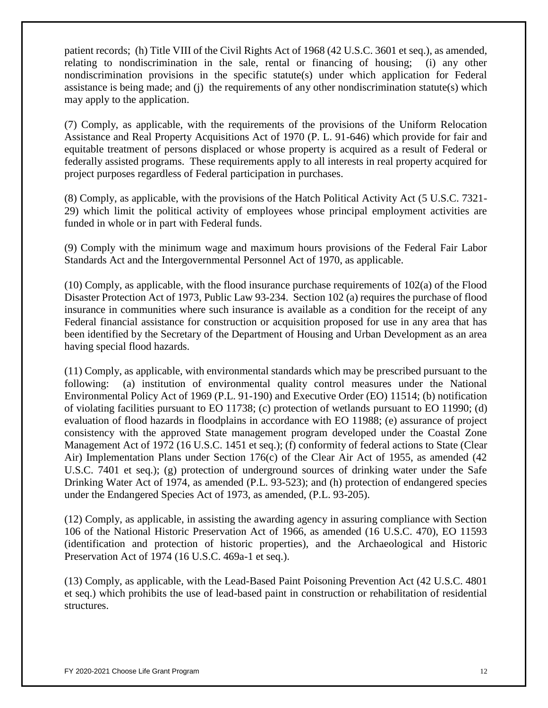patient records; (h) Title VIII of the Civil Rights Act of 1968 (42 U.S.C. 3601 et seq.), as amended, relating to nondiscrimination in the sale, rental or financing of housing; (i) any other nondiscrimination provisions in the specific statute(s) under which application for Federal assistance is being made; and (j) the requirements of any other nondiscrimination statute(s) which may apply to the application.

(7) Comply, as applicable, with the requirements of the provisions of the Uniform Relocation Assistance and Real Property Acquisitions Act of 1970 (P. L. 91-646) which provide for fair and equitable treatment of persons displaced or whose property is acquired as a result of Federal or federally assisted programs. These requirements apply to all interests in real property acquired for project purposes regardless of Federal participation in purchases.

(8) Comply, as applicable, with the provisions of the Hatch Political Activity Act (5 U.S.C. 7321- 29) which limit the political activity of employees whose principal employment activities are funded in whole or in part with Federal funds.

(9) Comply with the minimum wage and maximum hours provisions of the Federal Fair Labor Standards Act and the Intergovernmental Personnel Act of 1970, as applicable.

(10) Comply, as applicable, with the flood insurance purchase requirements of 102(a) of the Flood Disaster Protection Act of 1973, Public Law 93-234. Section 102 (a) requires the purchase of flood insurance in communities where such insurance is available as a condition for the receipt of any Federal financial assistance for construction or acquisition proposed for use in any area that has been identified by the Secretary of the Department of Housing and Urban Development as an area having special flood hazards.

(11) Comply, as applicable, with environmental standards which may be prescribed pursuant to the following: (a) institution of environmental quality control measures under the National Environmental Policy Act of 1969 (P.L. 91-190) and Executive Order (EO) 11514; (b) notification of violating facilities pursuant to EO 11738; (c) protection of wetlands pursuant to EO 11990; (d) evaluation of flood hazards in floodplains in accordance with EO 11988; (e) assurance of project consistency with the approved State management program developed under the Coastal Zone Management Act of 1972 (16 U.S.C. 1451 et seq.); (f) conformity of federal actions to State (Clear Air) Implementation Plans under Section 176(c) of the Clear Air Act of 1955, as amended (42 U.S.C. 7401 et seq.); (g) protection of underground sources of drinking water under the Safe Drinking Water Act of 1974, as amended (P.L. 93-523); and (h) protection of endangered species under the Endangered Species Act of 1973, as amended, (P.L. 93-205).

(12) Comply, as applicable, in assisting the awarding agency in assuring compliance with Section 106 of the National Historic Preservation Act of 1966, as amended (16 U.S.C. 470), EO 11593 (identification and protection of historic properties), and the Archaeological and Historic Preservation Act of 1974 (16 U.S.C. 469a-1 et seq.).

(13) Comply, as applicable, with the Lead-Based Paint Poisoning Prevention Act (42 U.S.C. 4801 et seq.) which prohibits the use of lead-based paint in construction or rehabilitation of residential structures.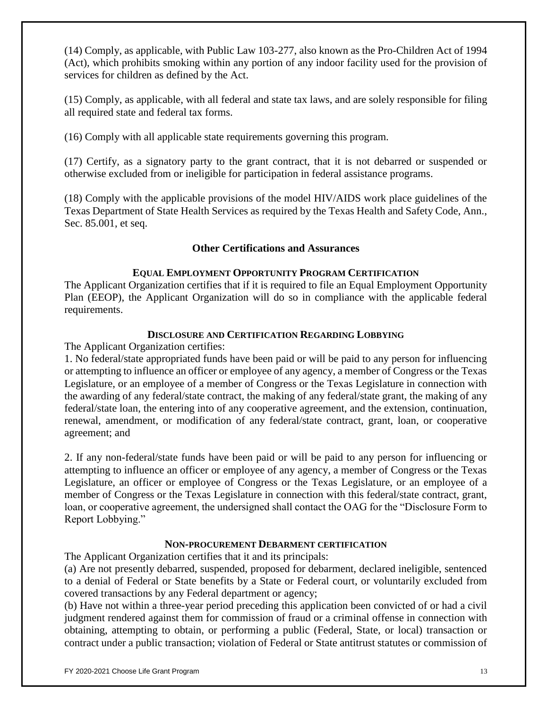(14) Comply, as applicable, with Public Law 103-277, also known as the Pro-Children Act of 1994 (Act), which prohibits smoking within any portion of any indoor facility used for the provision of services for children as defined by the Act.

(15) Comply, as applicable, with all federal and state tax laws, and are solely responsible for filing all required state and federal tax forms.

(16) Comply with all applicable state requirements governing this program.

(17) Certify, as a signatory party to the grant contract, that it is not debarred or suspended or otherwise excluded from or ineligible for participation in federal assistance programs.

(18) Comply with the applicable provisions of the model HIV/AIDS work place guidelines of the Texas Department of State Health Services as required by the Texas Health and Safety Code, Ann., Sec. 85.001, et seq.

# **Other Certifications and Assurances**

# **EQUAL EMPLOYMENT OPPORTUNITY PROGRAM CERTIFICATION**

The Applicant Organization certifies that if it is required to file an Equal Employment Opportunity Plan (EEOP), the Applicant Organization will do so in compliance with the applicable federal requirements.

# **DISCLOSURE AND CERTIFICATION REGARDING LOBBYING**

The Applicant Organization certifies:

1. No federal/state appropriated funds have been paid or will be paid to any person for influencing or attempting to influence an officer or employee of any agency, a member of Congress or the Texas Legislature, or an employee of a member of Congress or the Texas Legislature in connection with the awarding of any federal/state contract, the making of any federal/state grant, the making of any federal/state loan, the entering into of any cooperative agreement, and the extension, continuation, renewal, amendment, or modification of any federal/state contract, grant, loan, or cooperative agreement; and

2. If any non-federal/state funds have been paid or will be paid to any person for influencing or attempting to influence an officer or employee of any agency, a member of Congress or the Texas Legislature, an officer or employee of Congress or the Texas Legislature, or an employee of a member of Congress or the Texas Legislature in connection with this federal/state contract, grant, loan, or cooperative agreement, the undersigned shall contact the OAG for the "Disclosure Form to Report Lobbying."

# **NON-PROCUREMENT DEBARMENT CERTIFICATION**

The Applicant Organization certifies that it and its principals:

(a) Are not presently debarred, suspended, proposed for debarment, declared ineligible, sentenced to a denial of Federal or State benefits by a State or Federal court, or voluntarily excluded from covered transactions by any Federal department or agency;

(b) Have not within a three-year period preceding this application been convicted of or had a civil judgment rendered against them for commission of fraud or a criminal offense in connection with obtaining, attempting to obtain, or performing a public (Federal, State, or local) transaction or contract under a public transaction; violation of Federal or State antitrust statutes or commission of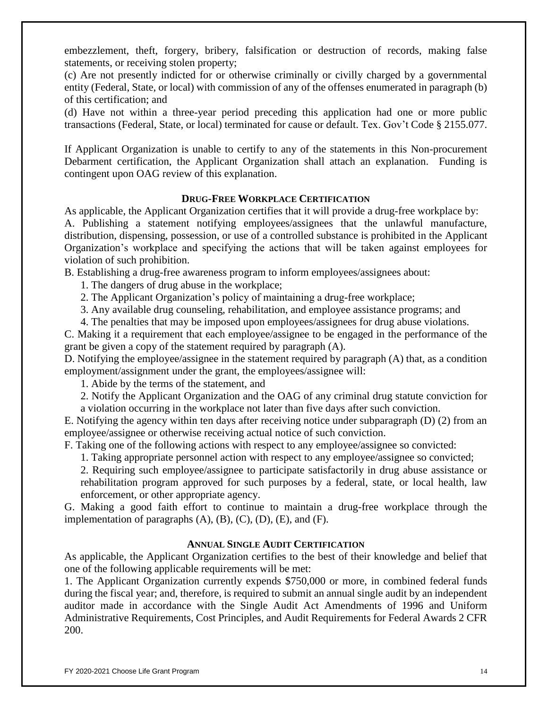embezzlement, theft, forgery, bribery, falsification or destruction of records, making false statements, or receiving stolen property;

(c) Are not presently indicted for or otherwise criminally or civilly charged by a governmental entity (Federal, State, or local) with commission of any of the offenses enumerated in paragraph (b) of this certification; and

(d) Have not within a three-year period preceding this application had one or more public transactions (Federal, State, or local) terminated for cause or default. Tex. Gov't Code § 2155.077.

If Applicant Organization is unable to certify to any of the statements in this Non-procurement Debarment certification, the Applicant Organization shall attach an explanation. Funding is contingent upon OAG review of this explanation.

#### **DRUG-FREE WORKPLACE CERTIFICATION**

As applicable, the Applicant Organization certifies that it will provide a drug-free workplace by: A. Publishing a statement notifying employees/assignees that the unlawful manufacture, distribution, dispensing, possession, or use of a controlled substance is prohibited in the Applicant Organization's workplace and specifying the actions that will be taken against employees for violation of such prohibition.

B. Establishing a drug-free awareness program to inform employees/assignees about:

1. The dangers of drug abuse in the workplace;

2. The Applicant Organization's policy of maintaining a drug-free workplace;

3. Any available drug counseling, rehabilitation, and employee assistance programs; and

4. The penalties that may be imposed upon employees/assignees for drug abuse violations.

C. Making it a requirement that each employee/assignee to be engaged in the performance of the grant be given a copy of the statement required by paragraph (A).

D. Notifying the employee/assignee in the statement required by paragraph (A) that, as a condition employment/assignment under the grant, the employees/assignee will:

1. Abide by the terms of the statement, and

2. Notify the Applicant Organization and the OAG of any criminal drug statute conviction for a violation occurring in the workplace not later than five days after such conviction.

E. Notifying the agency within ten days after receiving notice under subparagraph (D) (2) from an employee/assignee or otherwise receiving actual notice of such conviction.

F. Taking one of the following actions with respect to any employee/assignee so convicted:

1. Taking appropriate personnel action with respect to any employee/assignee so convicted;

2. Requiring such employee/assignee to participate satisfactorily in drug abuse assistance or rehabilitation program approved for such purposes by a federal, state, or local health, law enforcement, or other appropriate agency.

G. Making a good faith effort to continue to maintain a drug-free workplace through the implementation of paragraphs  $(A)$ ,  $(B)$ ,  $(C)$ ,  $(D)$ ,  $(E)$ , and  $(F)$ .

#### **ANNUAL SINGLE AUDIT CERTIFICATION**

As applicable, the Applicant Organization certifies to the best of their knowledge and belief that one of the following applicable requirements will be met:

1. The Applicant Organization currently expends \$750,000 or more, in combined federal funds during the fiscal year; and, therefore, is required to submit an annual single audit by an independent auditor made in accordance with the Single Audit Act Amendments of 1996 and Uniform Administrative Requirements, Cost Principles, and Audit Requirements for Federal Awards 2 CFR 200.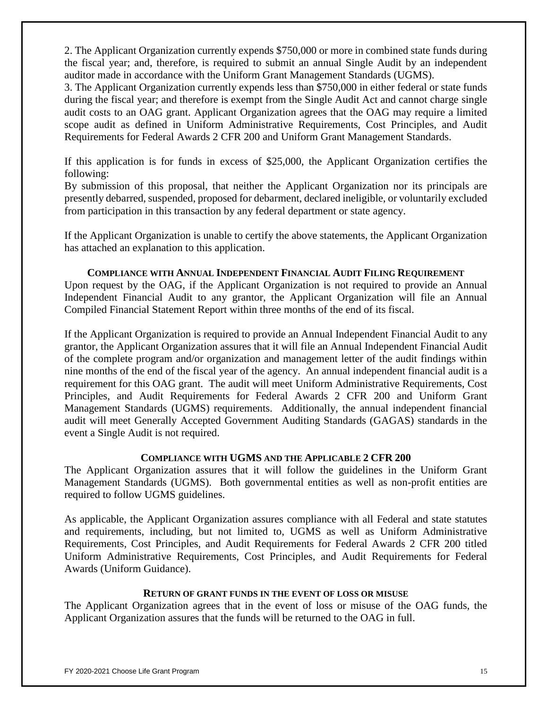2. The Applicant Organization currently expends \$750,000 or more in combined state funds during the fiscal year; and, therefore, is required to submit an annual Single Audit by an independent auditor made in accordance with the Uniform Grant Management Standards (UGMS).

3. The Applicant Organization currently expends less than \$750,000 in either federal or state funds during the fiscal year; and therefore is exempt from the Single Audit Act and cannot charge single audit costs to an OAG grant. Applicant Organization agrees that the OAG may require a limited scope audit as defined in Uniform Administrative Requirements, Cost Principles, and Audit Requirements for Federal Awards 2 CFR 200 and Uniform Grant Management Standards.

If this application is for funds in excess of \$25,000, the Applicant Organization certifies the following:

By submission of this proposal, that neither the Applicant Organization nor its principals are presently debarred, suspended, proposed for debarment, declared ineligible, or voluntarily excluded from participation in this transaction by any federal department or state agency.

If the Applicant Organization is unable to certify the above statements, the Applicant Organization has attached an explanation to this application.

#### **COMPLIANCE WITH ANNUAL INDEPENDENT FINANCIAL AUDIT FILING REQUIREMENT**

Upon request by the OAG, if the Applicant Organization is not required to provide an Annual Independent Financial Audit to any grantor, the Applicant Organization will file an Annual Compiled Financial Statement Report within three months of the end of its fiscal.

If the Applicant Organization is required to provide an Annual Independent Financial Audit to any grantor, the Applicant Organization assures that it will file an Annual Independent Financial Audit of the complete program and/or organization and management letter of the audit findings within nine months of the end of the fiscal year of the agency. An annual independent financial audit is a requirement for this OAG grant. The audit will meet Uniform Administrative Requirements, Cost Principles, and Audit Requirements for Federal Awards 2 CFR 200 and Uniform Grant Management Standards (UGMS) requirements. Additionally, the annual independent financial audit will meet Generally Accepted Government Auditing Standards (GAGAS) standards in the event a Single Audit is not required.

## **COMPLIANCE WITH UGMS AND THE APPLICABLE 2 CFR 200**

The Applicant Organization assures that it will follow the guidelines in the Uniform Grant Management Standards (UGMS). Both governmental entities as well as non-profit entities are required to follow UGMS guidelines.

As applicable, the Applicant Organization assures compliance with all Federal and state statutes and requirements, including, but not limited to, UGMS as well as Uniform Administrative Requirements, Cost Principles, and Audit Requirements for Federal Awards 2 CFR 200 titled Uniform Administrative Requirements, Cost Principles, and Audit Requirements for Federal Awards (Uniform Guidance).

#### **RETURN OF GRANT FUNDS IN THE EVENT OF LOSS OR MISUSE**

The Applicant Organization agrees that in the event of loss or misuse of the OAG funds, the Applicant Organization assures that the funds will be returned to the OAG in full.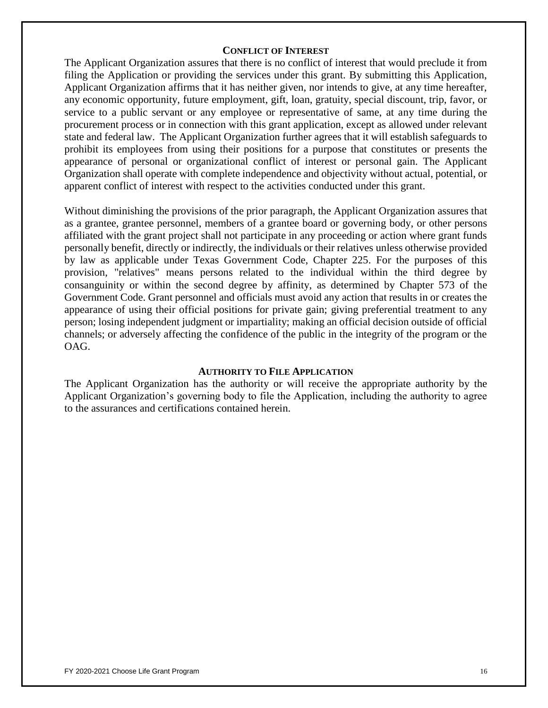#### **CONFLICT OF INTEREST**

The Applicant Organization assures that there is no conflict of interest that would preclude it from filing the Application or providing the services under this grant. By submitting this Application, Applicant Organization affirms that it has neither given, nor intends to give, at any time hereafter, any economic opportunity, future employment, gift, loan, gratuity, special discount, trip, favor, or service to a public servant or any employee or representative of same, at any time during the procurement process or in connection with this grant application, except as allowed under relevant state and federal law. The Applicant Organization further agrees that it will establish safeguards to prohibit its employees from using their positions for a purpose that constitutes or presents the appearance of personal or organizational conflict of interest or personal gain. The Applicant Organization shall operate with complete independence and objectivity without actual, potential, or apparent conflict of interest with respect to the activities conducted under this grant.

Without diminishing the provisions of the prior paragraph, the Applicant Organization assures that as a grantee, grantee personnel, members of a grantee board or governing body, or other persons affiliated with the grant project shall not participate in any proceeding or action where grant funds personally benefit, directly or indirectly, the individuals or their relatives unless otherwise provided by law as applicable under Texas Government Code, Chapter 225. For the purposes of this provision, "relatives" means persons related to the individual within the third degree by consanguinity or within the second degree by affinity, as determined by Chapter 573 of the Government Code. Grant personnel and officials must avoid any action that results in or creates the appearance of using their official positions for private gain; giving preferential treatment to any person; losing independent judgment or impartiality; making an official decision outside of official channels; or adversely affecting the confidence of the public in the integrity of the program or the OAG.

#### **AUTHORITY TO FILE APPLICATION**

The Applicant Organization has the authority or will receive the appropriate authority by the Applicant Organization's governing body to file the Application, including the authority to agree to the assurances and certifications contained herein.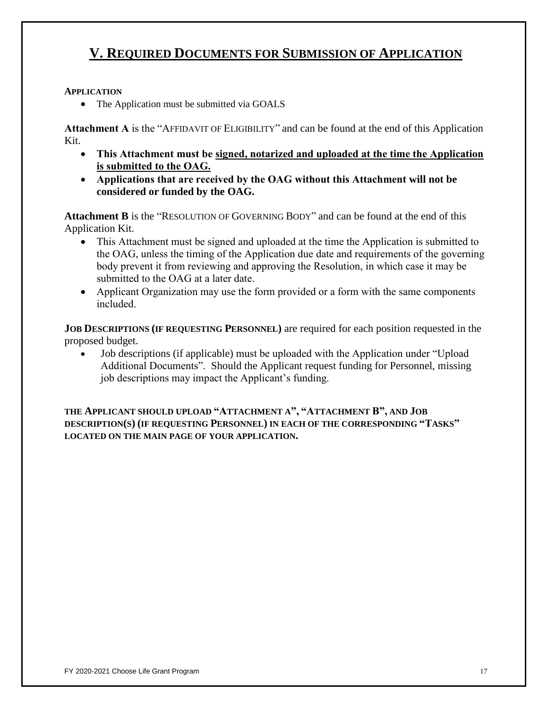# **V. REQUIRED DOCUMENTS FOR SUBMISSION OF APPLICATION**

## **APPLICATION**

• The Application must be submitted via GOALS

**Attachment A** is the "AFFIDAVIT OF ELIGIBILITY" and can be found at the end of this Application Kit.

- **This Attachment must be signed, notarized and uploaded at the time the Application is submitted to the OAG.**
- **Applications that are received by the OAG without this Attachment will not be considered or funded by the OAG.**

**Attachment B** is the "RESOLUTION OF GOVERNING BODY" and can be found at the end of this Application Kit.

- This Attachment must be signed and uploaded at the time the Application is submitted to the OAG, unless the timing of the Application due date and requirements of the governing body prevent it from reviewing and approving the Resolution, in which case it may be submitted to the OAG at a later date.
- Applicant Organization may use the form provided or a form with the same components included.

**JOB DESCRIPTIONS (IF REQUESTING PERSONNEL)** are required for each position requested in the proposed budget.

 Job descriptions (if applicable) must be uploaded with the Application under "Upload Additional Documents". Should the Applicant request funding for Personnel, missing job descriptions may impact the Applicant's funding.

**THE APPLICANT SHOULD UPLOAD "ATTACHMENT A", "ATTACHMENT B", AND JOB DESCRIPTION(S) (IF REQUESTING PERSONNEL) IN EACH OF THE CORRESPONDING "TASKS" LOCATED ON THE MAIN PAGE OF YOUR APPLICATION.**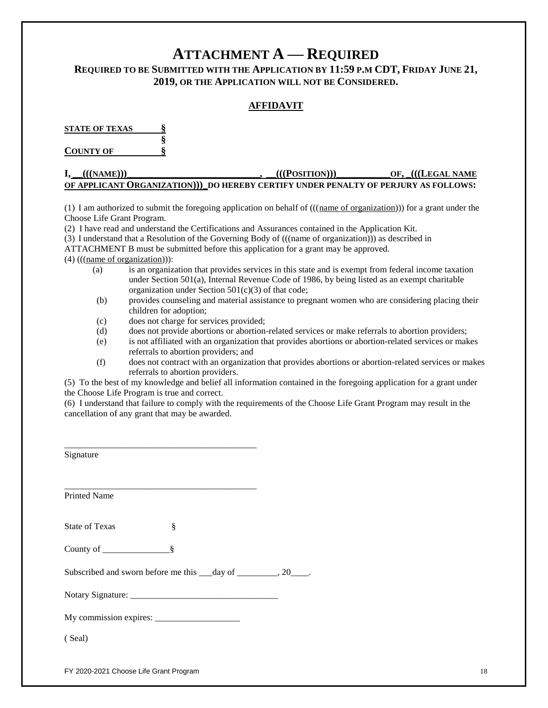# **ATTACHMENT A — REQUIRED**

# **REQUIRED TO BE SUBMITTED WITH THE APPLICATION BY 11:59 P.M CDT, FRIDAY JUNE 21, 2019, OR THE APPLICATION WILL NOT BE CONSIDERED.**

## **AFFIDAVIT**

**STATE OF TEXAS § §**

**COUNTY OF §**

#### **I, \_\_(((NAME)))\_\_\_\_\_\_\_\_\_\_\_\_\_\_\_\_\_\_\_\_\_\_\_\_\_\_\_, \_\_(((POSITION)))\_\_\_\_\_\_\_\_\_\_\_OF, \_(((LEGAL NAME OF APPLICANT ORGANIZATION)))\_DO HEREBY CERTIFY UNDER PENALTY OF PERJURY AS FOLLOWS:**

(1)I am authorized to submit the foregoing application on behalf of (((name of organization))) for a grant under the Choose Life Grant Program.

(2) I have read and understand the Certifications and Assurances contained in the Application Kit.

(3) I understand that a Resolution of the Governing Body of (((name of organization))) as described in

ATTACHMENT B must be submitted before this application for a grant may be approved.

(4) (((name of organization))):

- (a) is an organization that provides services in this state and is exempt from federal income taxation under Section 501(a), Internal Revenue Code of 1986, by being listed as an exempt charitable organization under Section  $501(c)(3)$  of that code;
- (b) provides counseling and material assistance to pregnant women who are considering placing their children for adoption;
- (c) does not charge for services provided;
- (d) does not provide abortions or abortion-related services or make referrals to abortion providers;
- (e) is not affiliated with an organization that provides abortions or abortion-related services or makes referrals to abortion providers; and
- (f) does not contract with an organization that provides abortions or abortion-related services or makes referrals to abortion providers.

(5) To the best of my knowledge and belief all information contained in the foregoing application for a grant under the Choose Life Program is true and correct.

(6) I understand that failure to comply with the requirements of the Choose Life Grant Program may result in the cancellation of any grant that may be awarded.

| Signature                                                                                                                                   |  |
|---------------------------------------------------------------------------------------------------------------------------------------------|--|
| <u> 1980 - Jan James James James James James James James James James James James James James James James James J</u><br><b>Printed Name</b> |  |
|                                                                                                                                             |  |
| ş<br><b>State of Texas</b>                                                                                                                  |  |
|                                                                                                                                             |  |
| Subscribed and sworn before me this ___day of ________, 20____.                                                                             |  |
|                                                                                                                                             |  |
|                                                                                                                                             |  |
| (Seal)                                                                                                                                      |  |

FY 2020-2021 Choose Life Grant Program 18